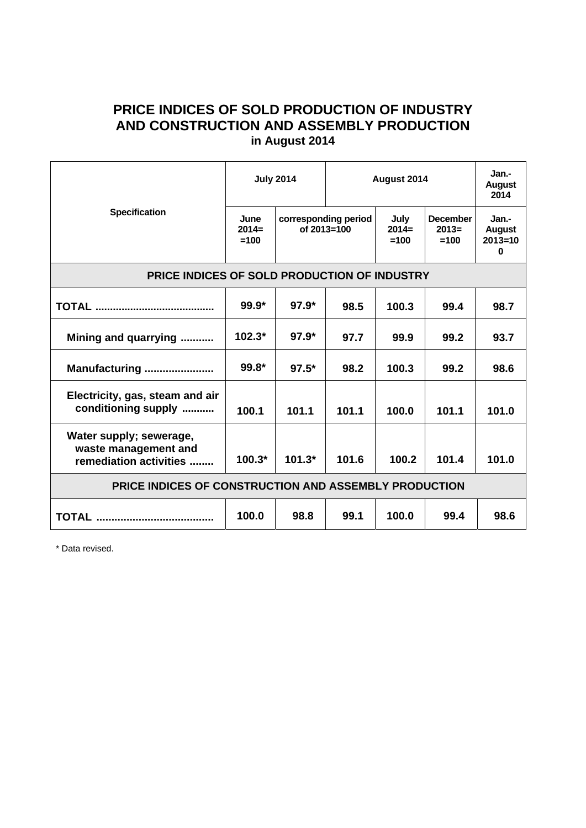## **PRICE INDICES OF SOLD PRODUCTION OF INDUSTRY AND CONSTRUCTION AND ASSEMBLY PRODUCTION in August 2014**

| <b>Specification</b>                                                      | <b>July 2014</b>          |                                     | August 2014 |                           |                                      | Jan.-<br>August<br>2014                           |
|---------------------------------------------------------------------------|---------------------------|-------------------------------------|-------------|---------------------------|--------------------------------------|---------------------------------------------------|
|                                                                           | June<br>$2014=$<br>$=100$ | corresponding period<br>of 2013=100 |             | July<br>$2014=$<br>$=100$ | <b>December</b><br>$2013=$<br>$=100$ | Jan.-<br><b>August</b><br>$2013 = 10$<br>$\bf{0}$ |
| PRICE INDICES OF SOLD PRODUCTION OF INDUSTRY                              |                           |                                     |             |                           |                                      |                                                   |
|                                                                           | $99.9*$                   | $97.9*$                             | 98.5        | 100.3                     | 99.4                                 | 98.7                                              |
| Mining and quarrying                                                      | $102.3*$                  | $97.9*$                             | 97.7        | 99.9                      | 99.2                                 | 93.7                                              |
| Manufacturing                                                             | 99.8*                     | $97.5*$                             | 98.2        | 100.3                     | 99.2                                 | 98.6                                              |
| Electricity, gas, steam and air<br>conditioning supply                    | 100.1                     | 101.1                               | 101.1       | 100.0                     | 101.1                                | 101.0                                             |
| Water supply; sewerage,<br>waste management and<br>remediation activities | $100.3*$                  | $101.3*$                            | 101.6       | 100.2                     | 101.4                                | 101.0                                             |
| PRICE INDICES OF CONSTRUCTION AND ASSEMBLY PRODUCTION                     |                           |                                     |             |                           |                                      |                                                   |
|                                                                           | 100.0                     | 98.8                                | 99.1        | 100.0                     | 99.4                                 | 98.6                                              |

\* Data revised.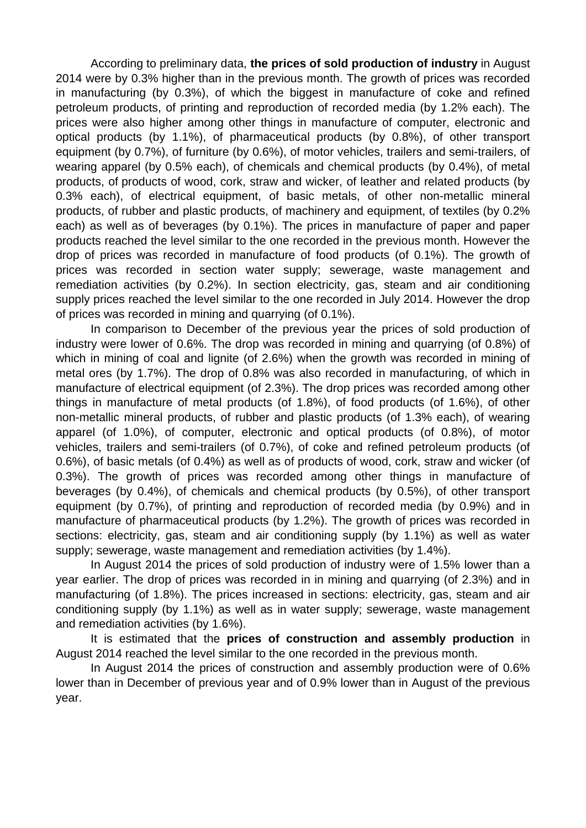According to preliminary data, **the prices of sold production of industry** in August 2014 were by 0.3% higher than in the previous month. The growth of prices was recorded in manufacturing (by 0.3%), of which the biggest in manufacture of coke and refined petroleum products, of printing and reproduction of recorded media (by 1.2% each). The prices were also higher among other things in manufacture of computer, electronic and optical products (by 1.1%), of pharmaceutical products (by 0.8%), of other transport equipment (by 0.7%), of furniture (by 0.6%), of motor vehicles, trailers and semi-trailers, of wearing apparel (by 0.5% each), of chemicals and chemical products (by 0.4%), of metal products, of products of wood, cork, straw and wicker, of leather and related products (by 0.3% each), of electrical equipment, of basic metals, of other non-metallic mineral products, of rubber and plastic products, of machinery and equipment, of textiles (by 0.2% each) as well as of beverages (by 0.1%). The prices in manufacture of paper and paper products reached the level similar to the one recorded in the previous month. However the drop of prices was recorded in manufacture of food products (of 0.1%). The growth of prices was recorded in section water supply; sewerage, waste management and remediation activities (by 0.2%). In section electricity, gas, steam and air conditioning supply prices reached the level similar to the one recorded in July 2014. However the drop of prices was recorded in mining and quarrying (of 0.1%).

In comparison to December of the previous year the prices of sold production of industry were lower of 0.6%. The drop was recorded in mining and quarrying (of 0.8%) of which in mining of coal and lignite (of 2.6%) when the growth was recorded in mining of metal ores (by 1.7%). The drop of 0.8% was also recorded in manufacturing, of which in manufacture of electrical equipment (of 2.3%). The drop prices was recorded among other things in manufacture of metal products (of 1.8%), of food products (of 1.6%), of other non-metallic mineral products, of rubber and plastic products (of 1.3% each), of wearing apparel (of 1.0%), of computer, electronic and optical products (of 0.8%), of motor vehicles, trailers and semi-trailers (of 0.7%), of coke and refined petroleum products (of 0.6%), of basic metals (of 0.4%) as well as of products of wood, cork, straw and wicker (of 0.3%). The growth of prices was recorded among other things in manufacture of beverages (by 0.4%), of chemicals and chemical products (by 0.5%), of other transport equipment (by 0.7%), of printing and reproduction of recorded media (by 0.9%) and in manufacture of pharmaceutical products (by 1.2%). The growth of prices was recorded in sections: electricity, gas, steam and air conditioning supply (by 1.1%) as well as water supply; sewerage, waste management and remediation activities (by 1.4%).

In August 2014 the prices of sold production of industry were of 1.5% lower than a year earlier. The drop of prices was recorded in in mining and quarrying (of 2.3%) and in manufacturing (of 1.8%). The prices increased in sections: electricity, gas, steam and air conditioning supply (by 1.1%) as well as in water supply; sewerage, waste management and remediation activities (by 1.6%).

It is estimated that the **prices of construction and assembly production** in August 2014 reached the level similar to the one recorded in the previous month.

In August 2014 the prices of construction and assembly production were of 0.6% lower than in December of previous year and of 0.9% lower than in August of the previous year.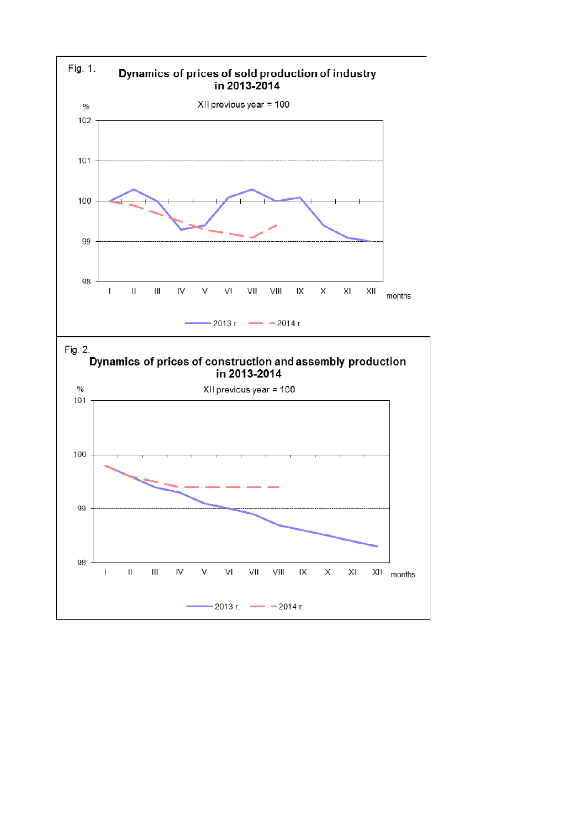